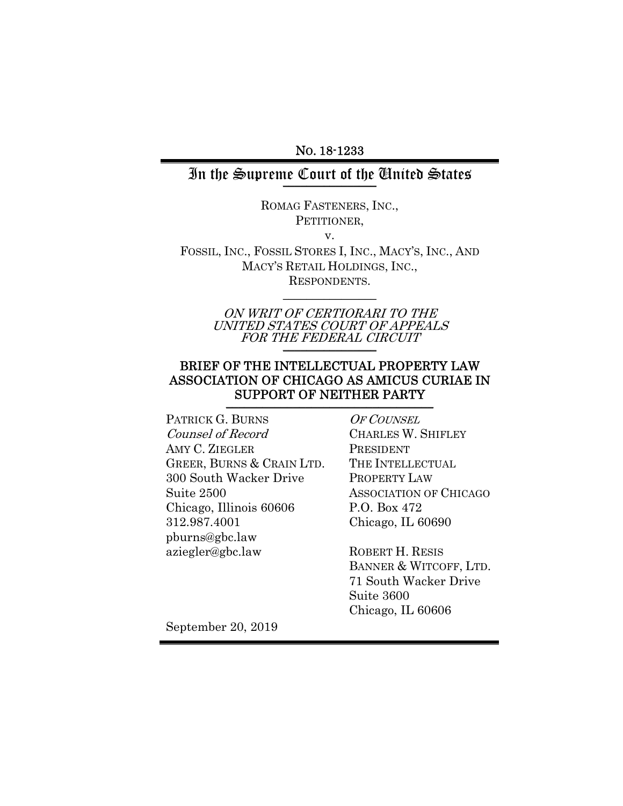NO. 18-1233

### In the Supreme Court of the United States

ROMAG FASTENERS, INC., PETITIONER.

v.

FOSSIL, INC., FOSSIL STORES I, INC., MACY'S, INC., AND MACY'S RETAIL HOLDINGS, INC., RESPONDENTS.

 $\frac{1}{2}$ 

ON WRIT OF CERTIORARI TO THE UNITED STATES COURT OF APPEALS FOR THE FEDERAL CIRCUIT

### BRIEF OF THE INTELLECTUAL PROPERTY LAW ASSOCIATION OF CHICAGO AS AMICUS CURIAE IN SUPPORT OF NEITHER PARTY

PATRICK G. BURNS Counsel of Record AMY C. ZIEGLER GREER, BURNS & CRAIN LTD. 300 South Wacker Drive Suite 2500 Chicago, Illinois 60606 312.987.4001 pburns@gbc.law aziegler@gbc.law

OF COUNSEL CHARLES W. SHIFLEY PRESIDENT THE INTELLECTUAL PROPERTY LAW ASSOCIATION OF CHICAGO P.O. Box 472 Chicago, IL 60690

ROBERT H. RESIS BANNER & WITCOFF, LTD. 71 South Wacker Drive Suite 3600 Chicago, IL 60606

September 20, 2019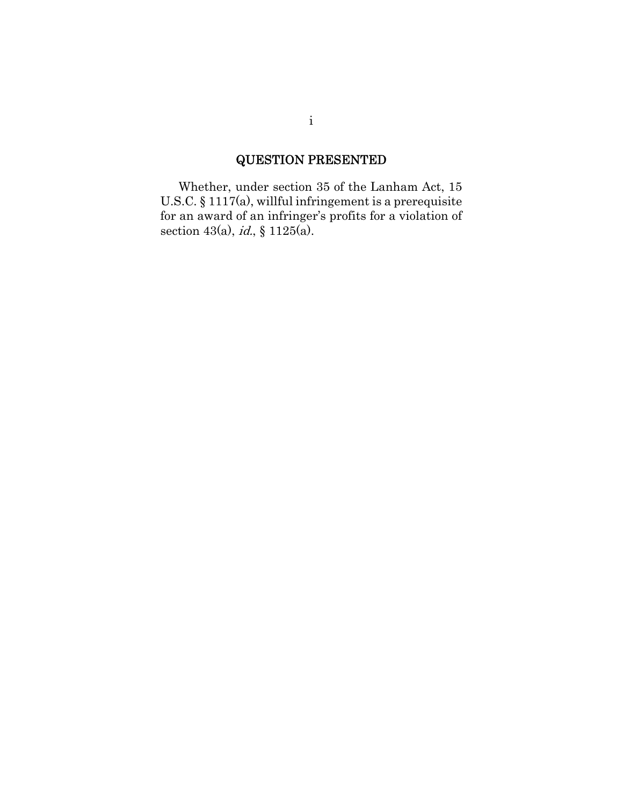# QUESTION PRESENTED

Whether, under section 35 of the Lanham Act, 15 U.S.C. § 1117(a), willful infringement is a prerequisite for an award of an infringer's profits for a violation of section 43(a), *id.*, § 1125(a).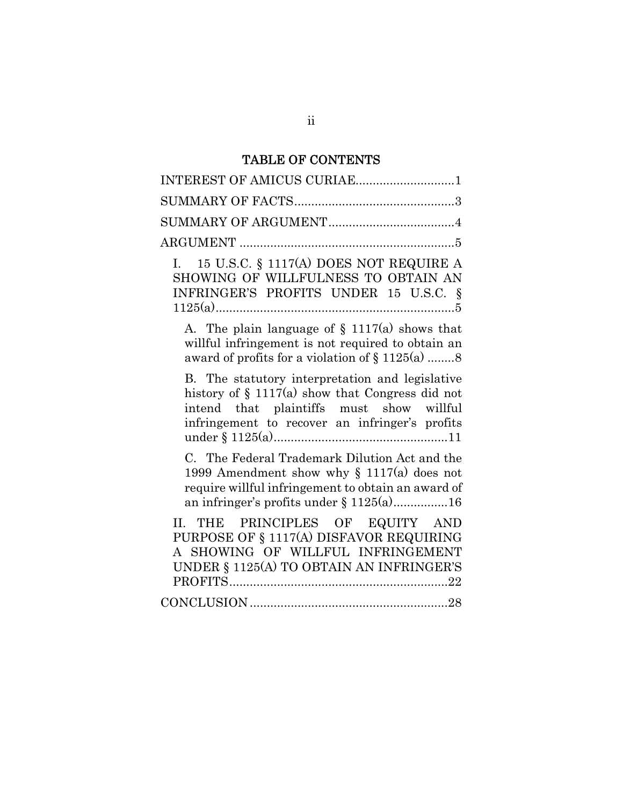## TABLE OF CONTENTS

| INTEREST OF AMICUS CURIAE1                                                                                                                                                                           |
|------------------------------------------------------------------------------------------------------------------------------------------------------------------------------------------------------|
|                                                                                                                                                                                                      |
|                                                                                                                                                                                                      |
|                                                                                                                                                                                                      |
| 15 U.S.C. § 1117(A) DOES NOT REQUIRE A<br>I.<br>SHOWING OF WILLFULNESS TO OBTAIN AN<br>INFRINGER'S PROFITS UNDER 15 U.S.C. §                                                                         |
| A. The plain language of $\S$ 1117(a) shows that<br>willful infringement is not required to obtain an<br>award of profits for a violation of $\S 1125(a)$ 8                                          |
| B. The statutory interpretation and legislative<br>history of $\S$ 1117(a) show that Congress did not<br>intend that plaintiffs must show willful<br>infringement to recover an infringer's profits  |
| C. The Federal Trademark Dilution Act and the<br>1999 Amendment show why $\S$ 1117(a) does not<br>require willful infringement to obtain an award of<br>an infringer's profits under $\S 1125(a)$ 16 |
| II. THE PRINCIPLES OF EQUITY AND<br>PURPOSE OF § 1117(A) DISFAVOR REQUIRING<br>A SHOWING OF WILLFUL INFRINGEMENT<br>UNDER $\S$ 1125(A) TO OBTAIN AN INFRINGER'S                                      |
|                                                                                                                                                                                                      |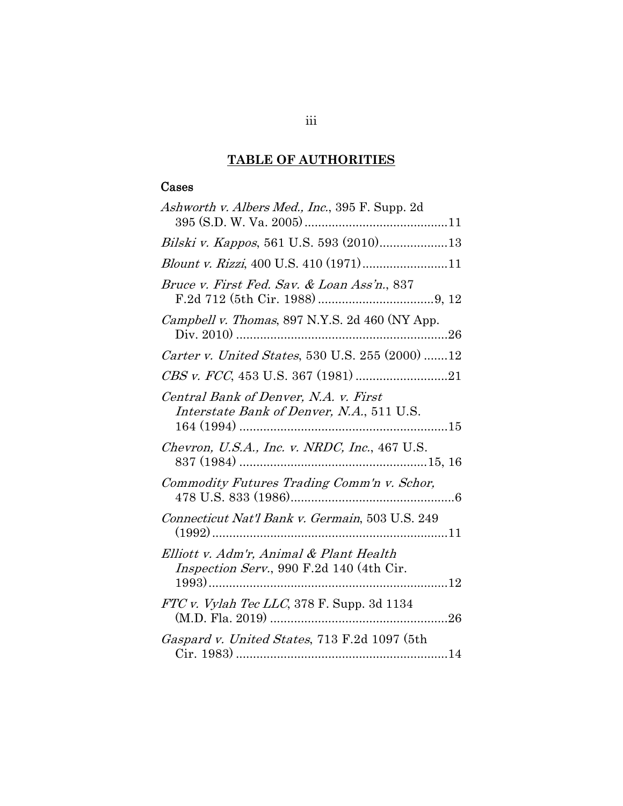## **TABLE OF AUTHORITIES**

### Cases

| Ashworth v. Albers Med., Inc., 395 F. Supp. 2d                                      |
|-------------------------------------------------------------------------------------|
| Bilski v. Kappos, 561 U.S. 593 (2010)13                                             |
| Blount v. Rizzi, 400 U.S. 410 (1971)11                                              |
| Bruce v. First Fed. Sav. & Loan Ass'n., 837                                         |
| Campbell v. Thomas, 897 N.Y.S. 2d 460 (NY App.                                      |
| Carter v. United States, 530 U.S. 255 (2000) 12                                     |
|                                                                                     |
| Central Bank of Denver, N.A. v. First<br>Interstate Bank of Denver, N.A., 511 U.S.  |
| Chevron, U.S.A., Inc. v. NRDC, Inc., 467 U.S.                                       |
| Commodity Futures Trading Comm'n v. Schor,                                          |
| Connecticut Nat'l Bank v. Germain, 503 U.S. 249                                     |
| Elliott v. Adm'r, Animal & Plant Health<br>Inspection Serv., 990 F.2d 140 (4th Cir. |
| FTC v. Vylah Tec LLC, 378 F. Supp. 3d 1134                                          |
| Gaspard v. United States, 713 F.2d 1097 (5th                                        |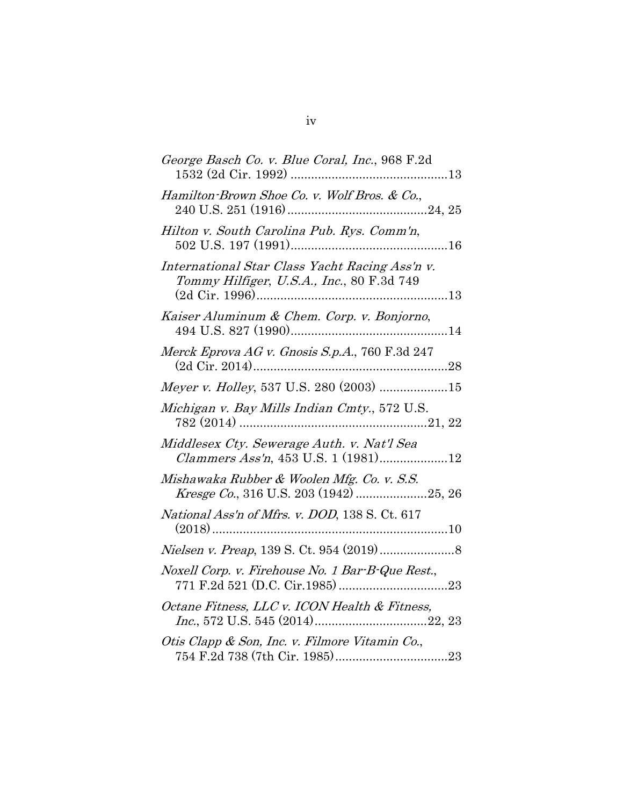| George Basch Co. v. Blue Coral, Inc., 968 F.2d                                              |
|---------------------------------------------------------------------------------------------|
| Hamilton-Brown Shoe Co. v. Wolf Bros. & Co.,                                                |
| Hilton v. South Carolina Pub. Rys. Comm'n,                                                  |
| International Star Class Yacht Racing Ass'n v.<br>Tommy Hilfiger, U.S.A., Inc., 80 F.3d 749 |
| Kaiser Aluminum & Chem. Corp. v. Bonjorno,                                                  |
| Merck Eprova AG v. Gnosis S.p.A., 760 F.3d 247                                              |
| Meyer v. Holley, 537 U.S. 280 (2003) 15                                                     |
| Michigan v. Bay Mills Indian Cmty., 572 U.S.                                                |
| Middlesex Cty. Sewerage Auth. v. Nat'l Sea<br><i>Clammers Ass'n</i> , 453 U.S. 1 (1981)12   |
| Mishawaka Rubber & Woolen Mfg. Co. v. S.S.<br>Kresge Co., 316 U.S. 203 (1942) 25, 26        |
| National Ass'n of Mfrs. v. DOD, 138 S. Ct. 617                                              |
|                                                                                             |
| Noxell Corp. v. Firehouse No. 1 Bar-B-Que Rest.,                                            |
| Octane Fitness, LLC v. ICON Health & Fitness,                                               |
| Otis Clapp & Son, Inc. v. Filmore Vitamin Co.,                                              |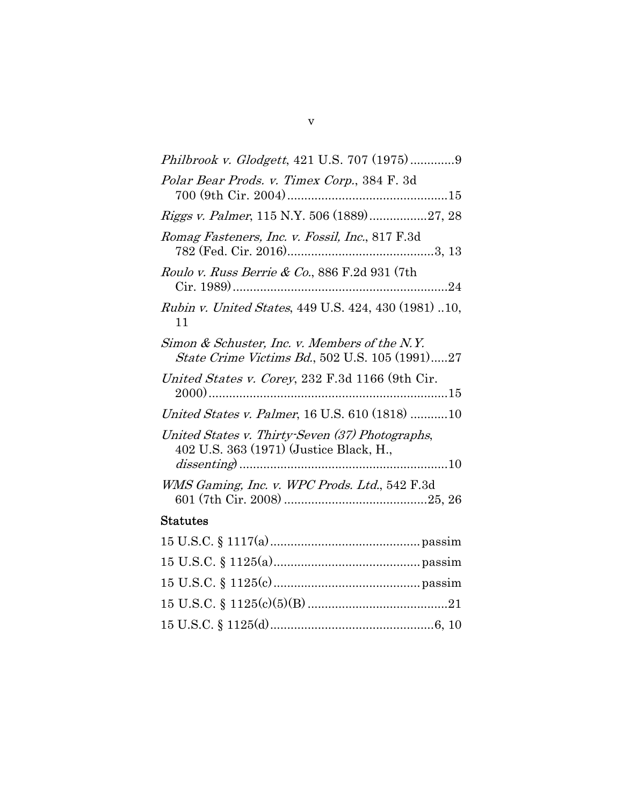| Polar Bear Prods. v. Timex Corp., 384 F. 3d                                                             |  |
|---------------------------------------------------------------------------------------------------------|--|
| <i>Riggs v. Palmer</i> , 115 N.Y. 506 (1889)27, 28                                                      |  |
| Romag Fasteners, Inc. v. Fossil, Inc., 817 F.3d                                                         |  |
| Roulo v. Russ Berrie & Co., 886 F.2d 931 (7th                                                           |  |
| Rubin v. United States, 449 U.S. 424, 430 (1981) 10,<br>11                                              |  |
| Simon & Schuster, Inc. v. Members of the N.Y.<br><i>State Crime Victims Bd.</i> , 502 U.S. 105 (1991)27 |  |
| United States v. Corey, 232 F.3d 1166 (9th Cir.                                                         |  |
| United States v. Palmer, 16 U.S. 610 (1818) 10                                                          |  |
| United States v. Thirty-Seven (37) Photographs,<br>402 U.S. 363 (1971) (Justice Black, H.,              |  |
| WMS Gaming, Inc. v. WPC Prods. Ltd., 542 F.3d                                                           |  |
| <b>Statutes</b>                                                                                         |  |
| $15 \text{ H S C } 81117(a)$<br>ngaaim                                                                  |  |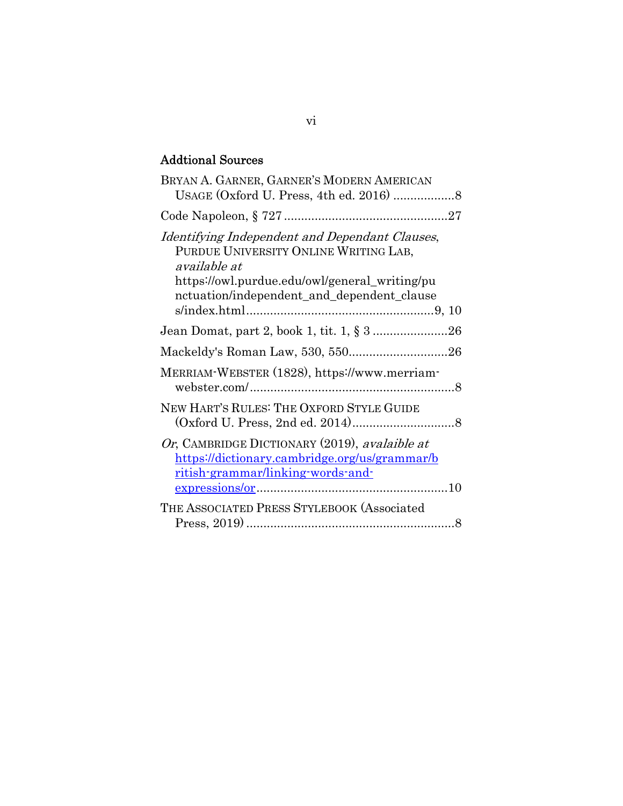## Addtional Sources

| BRYAN A. GARNER, GARNER'S MODERN AMERICAN                                                                                                                                                               |
|---------------------------------------------------------------------------------------------------------------------------------------------------------------------------------------------------------|
|                                                                                                                                                                                                         |
| Identifying Independent and Dependant Clauses,<br>PURDUE UNIVERSITY ONLINE WRITING LAB,<br>available at<br>https://owl.purdue.edu/owl/general_writing/pu<br>nctuation/independent_and_dependent_clause  |
|                                                                                                                                                                                                         |
|                                                                                                                                                                                                         |
| MERRIAM-WEBSTER (1828), https://www.merriam-                                                                                                                                                            |
| NEW HART'S RULES: THE OXFORD STYLE GUIDE                                                                                                                                                                |
| Or, CAMBRIDGE DICTIONARY (2019), avalaible at<br><u>https://dictionary.cambridge.org/us/grammar/b</u><br><u>ritish-grammar/linking-words-and-</u><br>$\frac{\text{expressions/or}}{\text{or} \dots 10}$ |
| THE ASSOCIATED PRESS STYLEBOOK (Associated                                                                                                                                                              |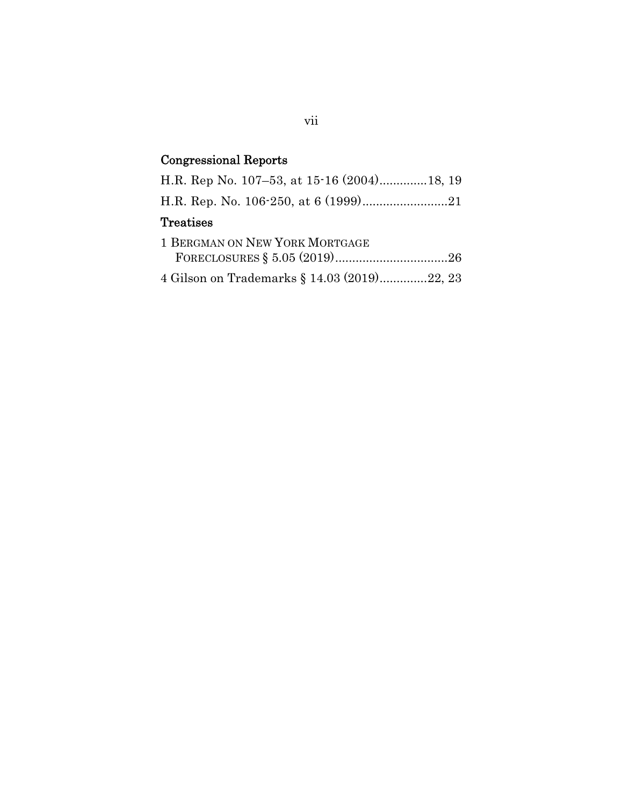# Congressional Reports

| H.R. Rep No. 107-53, at 15-16 (2004)18, 19  |  |
|---------------------------------------------|--|
|                                             |  |
| <b>Treatises</b>                            |  |
| 1 BERGMAN ON NEW YORK MORTGAGE              |  |
| 4 Gilson on Trademarks § 14.03 (2019)22, 23 |  |

vii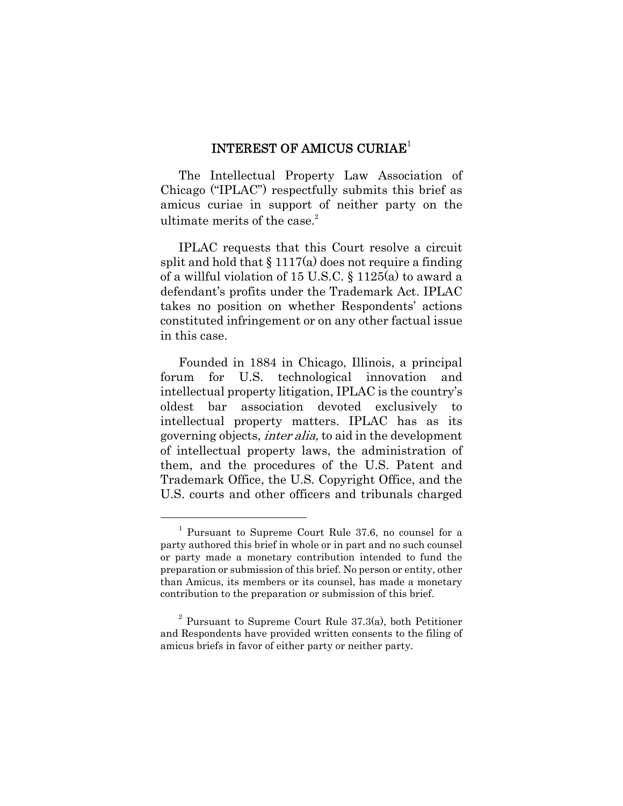#### INTEREST OF AMICUS CURIAE<sup>1</sup>

The Intellectual Property Law Association of Chicago ("IPLAC") respectfully submits this brief as amicus curiae in support of neither party on the ultimate merits of the case. $2$ 

IPLAC requests that this Court resolve a circuit split and hold that  $\S 1117(a)$  does not require a finding of a willful violation of 15 U.S.C. § 1125(a) to award a defendant's profits under the Trademark Act. IPLAC takes no position on whether Respondents' actions constituted infringement or on any other factual issue in this case.

Founded in 1884 in Chicago, Illinois, a principal forum for U.S. technological innovation and intellectual property litigation, IPLAC is the country's oldest bar association devoted exclusively to intellectual property matters. IPLAC has as its governing objects, inter alia, to aid in the development of intellectual property laws, the administration of them, and the procedures of the U.S. Patent and Trademark Office, the U.S. Copyright Office, and the U.S. courts and other officers and tribunals charged

<sup>1</sup> Pursuant to Supreme Court Rule 37.6, no counsel for a party authored this brief in whole or in part and no such counsel or party made a monetary contribution intended to fund the preparation or submission of this brief. No person or entity, other than Amicus, its members or its counsel, has made a monetary contribution to the preparation or submission of this brief.

 $2$  Pursuant to Supreme Court Rule 37.3(a), both Petitioner and Respondents have provided written consents to the filing of amicus briefs in favor of either party or neither party.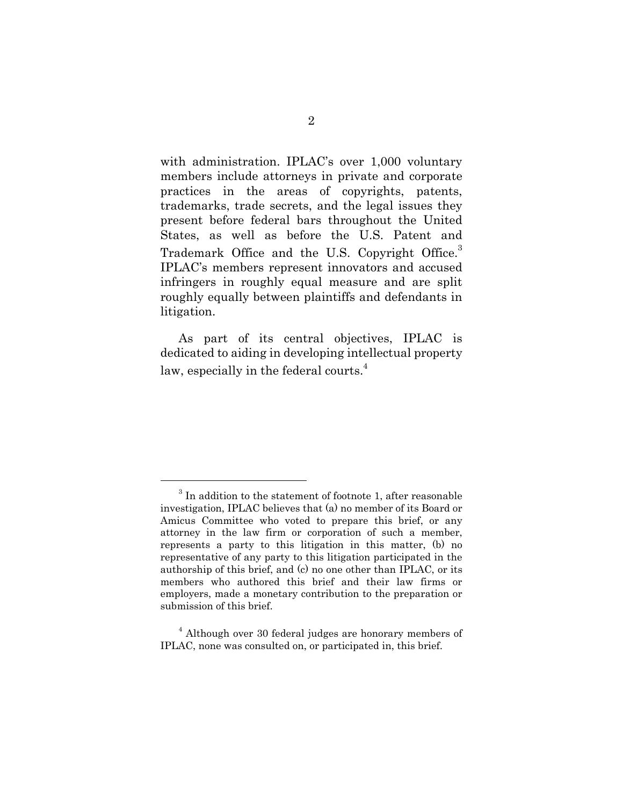with administration. IPLAC's over 1,000 voluntary members include attorneys in private and corporate practices in the areas of copyrights, patents, trademarks, trade secrets, and the legal issues they present before federal bars throughout the United States, as well as before the U.S. Patent and Trademark Office and the U.S. Copyright Office.<sup>3</sup> IPLAC's members represent innovators and accused infringers in roughly equal measure and are split roughly equally between plaintiffs and defendants in litigation.

As part of its central objectives, IPLAC is dedicated to aiding in developing intellectual property law, especially in the federal courts. $4$ 

 $3$  In addition to the statement of footnote 1, after reasonable investigation, IPLAC believes that (a) no member of its Board or Amicus Committee who voted to prepare this brief, or any attorney in the law firm or corporation of such a member, represents a party to this litigation in this matter, (b) no representative of any party to this litigation participated in the authorship of this brief, and (c) no one other than IPLAC, or its members who authored this brief and their law firms or employers, made a monetary contribution to the preparation or submission of this brief.

<sup>&</sup>lt;sup>4</sup> Although over 30 federal judges are honorary members of IPLAC, none was consulted on, or participated in, this brief.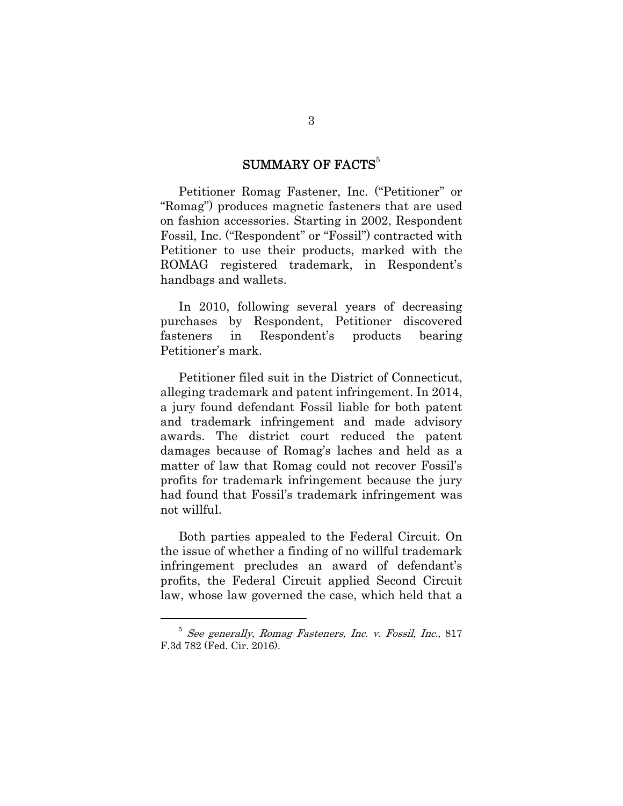### SUMMARY OF FACTS $^5$

Petitioner Romag Fastener, Inc. ("Petitioner" or "Romag") produces magnetic fasteners that are used on fashion accessories. Starting in 2002, Respondent Fossil, Inc. ("Respondent" or "Fossil") contracted with Petitioner to use their products, marked with the ROMAG registered trademark, in Respondent's handbags and wallets.

In 2010, following several years of decreasing purchases by Respondent, Petitioner discovered fasteners in Respondent's products bearing Petitioner's mark.

Petitioner filed suit in the District of Connecticut, alleging trademark and patent infringement. In 2014, a jury found defendant Fossil liable for both patent and trademark infringement and made advisory awards. The district court reduced the patent damages because of Romag's laches and held as a matter of law that Romag could not recover Fossil's profits for trademark infringement because the jury had found that Fossil's trademark infringement was not willful.

Both parties appealed to the Federal Circuit. On the issue of whether a finding of no willful trademark infringement precludes an award of defendant's profits, the Federal Circuit applied Second Circuit law, whose law governed the case, which held that a

<sup>5</sup> See generally, Romag Fasteners, Inc. v. Fossil, Inc., 817 F.3d 782 (Fed. Cir. 2016).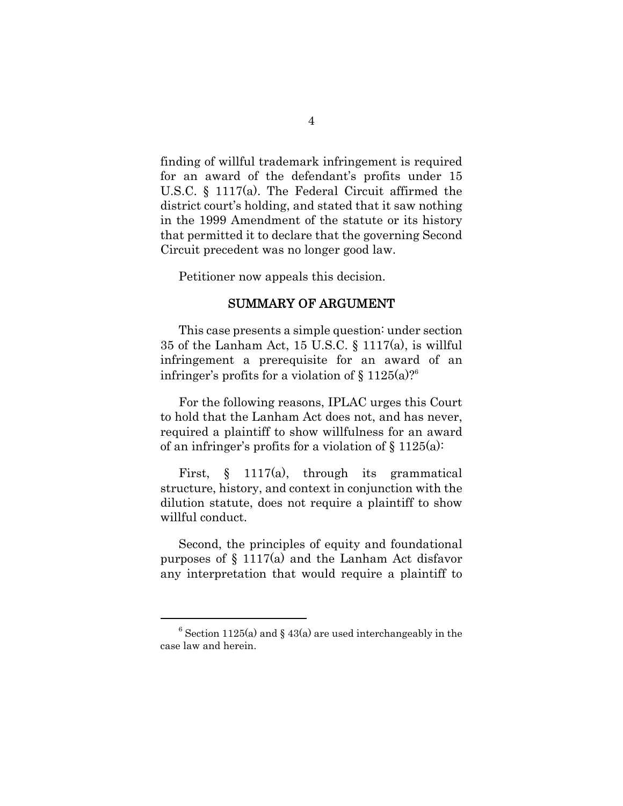finding of willful trademark infringement is required for an award of the defendant's profits under 15 U.S.C. § 1117(a). The Federal Circuit affirmed the district court's holding, and stated that it saw nothing in the 1999 Amendment of the statute or its history that permitted it to declare that the governing Second Circuit precedent was no longer good law.

Petitioner now appeals this decision.

#### SUMMARY OF ARGUMENT

This case presents a simple question: under section 35 of the Lanham Act, 15 U.S.C. § 1117(a), is willful infringement a prerequisite for an award of an infringer's profits for a violation of  $\S 1125(a)$ ?<sup>6</sup>

For the following reasons, IPLAC urges this Court to hold that the Lanham Act does not, and has never, required a plaintiff to show willfulness for an award of an infringer's profits for a violation of  $\S 1125(a)$ :

First, § 1117(a), through its grammatical structure, history, and context in conjunction with the dilution statute, does not require a plaintiff to show willful conduct.

Second, the principles of equity and foundational purposes of § 1117(a) and the Lanham Act disfavor any interpretation that would require a plaintiff to

 $6$  Section 1125(a) and § 43(a) are used interchangeably in the case law and herein.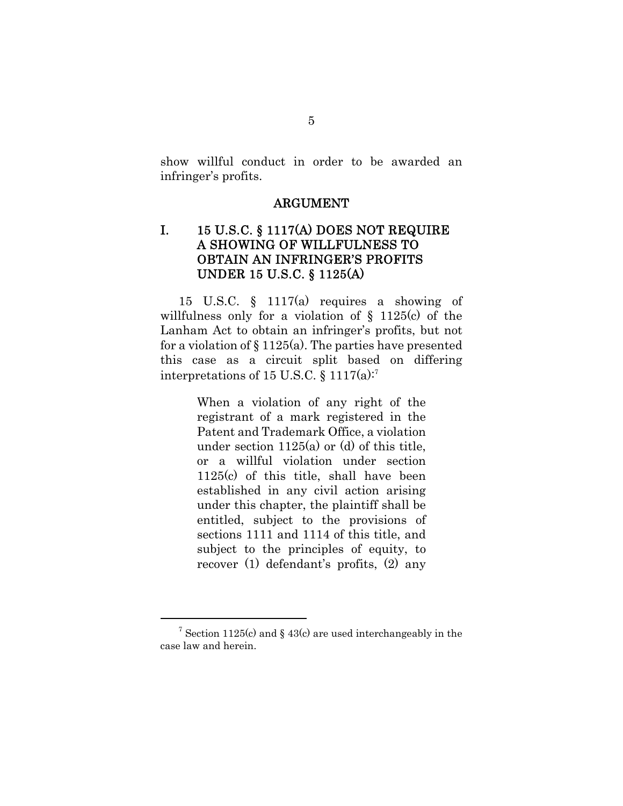show willful conduct in order to be awarded an infringer's profits.

#### ARGUMENT

### I. 15 U.S.C. § 1117(A) DOES NOT REQUIRE A SHOWING OF WILLFULNESS TO OBTAIN AN INFRINGER'S PROFITS UNDER 15 U.S.C. § 1125(A)

15 U.S.C. § 1117(a) requires a showing of willfulness only for a violation of § 1125(c) of the Lanham Act to obtain an infringer's profits, but not for a violation of  $\S 1125(a)$ . The parties have presented this case as a circuit split based on differing interpretations of 15 U.S.C.  $\S 1117(a)$ :<sup>7</sup>

> When a violation of any right of the registrant of a mark registered in the Patent and Trademark Office, a violation under section 1125(a) or (d) of this title, or a willful violation under section 1125(c) of this title, shall have been established in any civil action arising under this chapter, the plaintiff shall be entitled, subject to the provisions of sections 1111 and 1114 of this title, and subject to the principles of equity, to recover (1) defendant's profits, (2) any

<sup>&</sup>lt;sup>7</sup> Section 1125(c) and § 43(c) are used interchangeably in the case law and herein.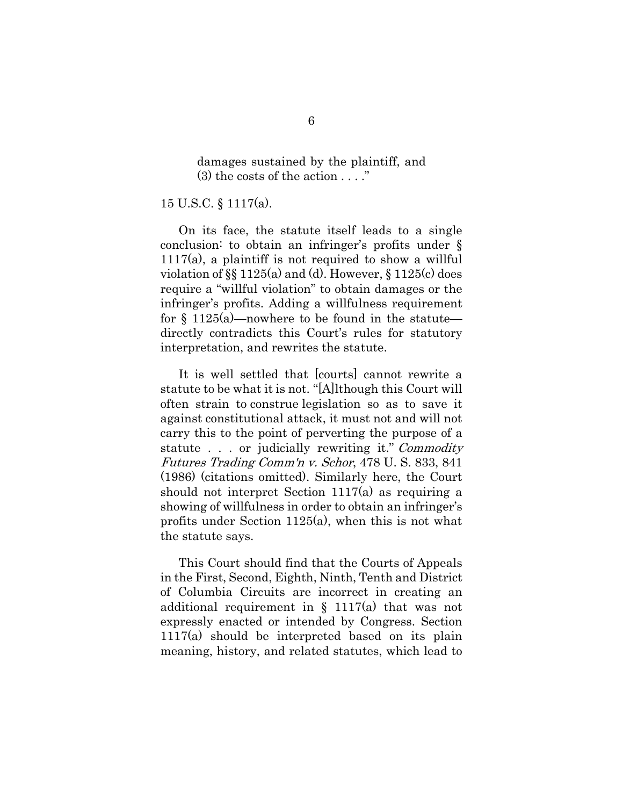damages sustained by the plaintiff, and  $(3)$  the costs of the action  $\dots$ .

15 U.S.C. § 1117(a).

On its face, the statute itself leads to a single conclusion: to obtain an infringer's profits under §  $1117(a)$ , a plaintiff is not required to show a willful violation of §§ 1125(a) and (d). However, § 1125(c) does require a "willful violation" to obtain damages or the infringer's profits. Adding a willfulness requirement for  $\S$  1125(a)—nowhere to be found in the statute directly contradicts this Court's rules for statutory interpretation, and rewrites the statute.

It is well settled that [courts] cannot rewrite a statute to be what it is not. "[A]lthough this Court will often strain to construe legislation so as to save it against constitutional attack, it must not and will not carry this to the point of perverting the purpose of a statute . . . or judicially rewriting it." Commodity Futures Trading Comm'n v. Schor, 478 U. S. 833, 841 (1986) (citations omitted). Similarly here, the Court should not interpret Section 1117(a) as requiring a showing of willfulness in order to obtain an infringer's profits under Section 1125(a), when this is not what the statute says.

This Court should find that the Courts of Appeals in the First, Second, Eighth, Ninth, Tenth and District of Columbia Circuits are incorrect in creating an additional requirement in § 1117(a) that was not expressly enacted or intended by Congress. Section 1117(a) should be interpreted based on its plain meaning, history, and related statutes, which lead to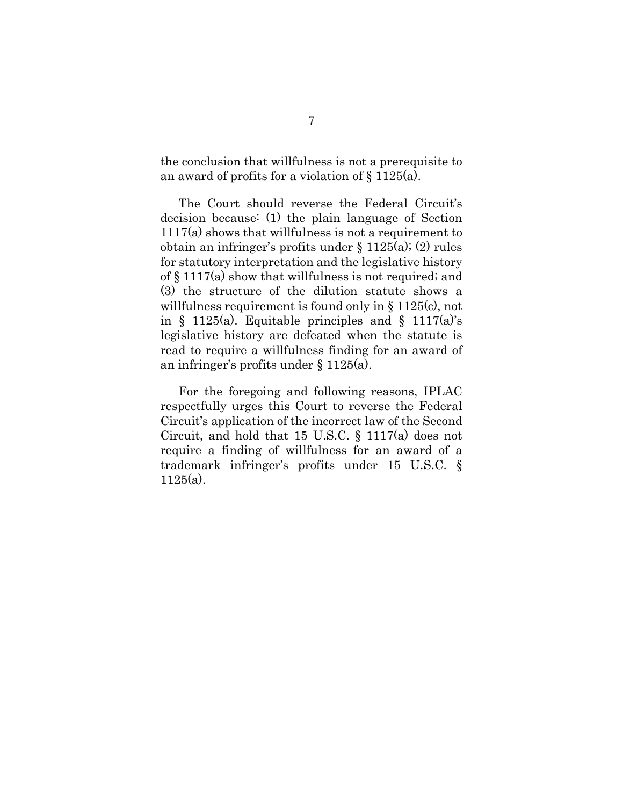the conclusion that willfulness is not a prerequisite to an award of profits for a violation of § 1125(a).

The Court should reverse the Federal Circuit's decision because: (1) the plain language of Section 1117(a) shows that willfulness is not a requirement to obtain an infringer's profits under § 1125(a); (2) rules for statutory interpretation and the legislative history of § 1117(a) show that willfulness is not required; and (3) the structure of the dilution statute shows a willfulness requirement is found only in § 1125(c), not in § 1125(a). Equitable principles and § 1117(a)'s legislative history are defeated when the statute is read to require a willfulness finding for an award of an infringer's profits under § 1125(a).

For the foregoing and following reasons, IPLAC respectfully urges this Court to reverse the Federal Circuit's application of the incorrect law of the Second Circuit, and hold that 15 U.S.C. § 1117(a) does not require a finding of willfulness for an award of a trademark infringer's profits under 15 U.S.C. § 1125(a).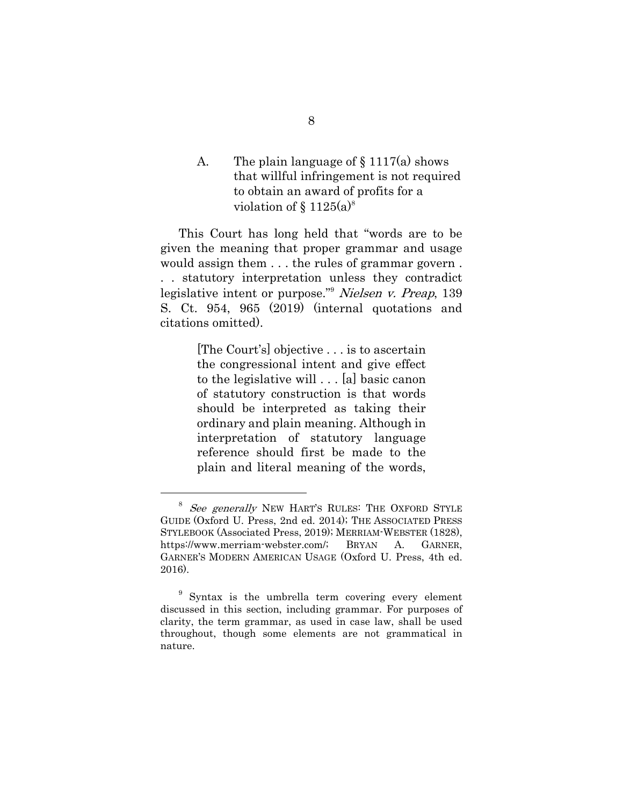A. The plain language of  $\S 1117(a)$  shows that willful infringement is not required to obtain an award of profits for a violation of  $\S 1125(a)^8$ 

This Court has long held that "words are to be given the meaning that proper grammar and usage would assign them . . . the rules of grammar govern . . . statutory interpretation unless they contradict legislative intent or purpose."9 Nielsen v. Preap, 139 S. Ct. 954, 965 (2019) (internal quotations and citations omitted).

> [The Court's] objective . . . is to ascertain the congressional intent and give effect to the legislative will . . . [a] basic canon of statutory construction is that words should be interpreted as taking their ordinary and plain meaning. Although in interpretation of statutory language reference should first be made to the plain and literal meaning of the words,

See generally NEW HART'S RULES: THE OXFORD STYLE GUIDE (Oxford U. Press, 2nd ed. 2014); THE ASSOCIATED PRESS STYLEBOOK (Associated Press, 2019); MERRIAM-WEBSTER (1828), https://www.merriam-webster.com/; BRYAN A. GARNER, GARNER'S MODERN AMERICAN USAGE (Oxford U. Press, 4th ed. 2016).

<sup>&</sup>lt;sup>9</sup> Syntax is the umbrella term covering every element discussed in this section, including grammar. For purposes of clarity, the term grammar, as used in case law, shall be used throughout, though some elements are not grammatical in nature.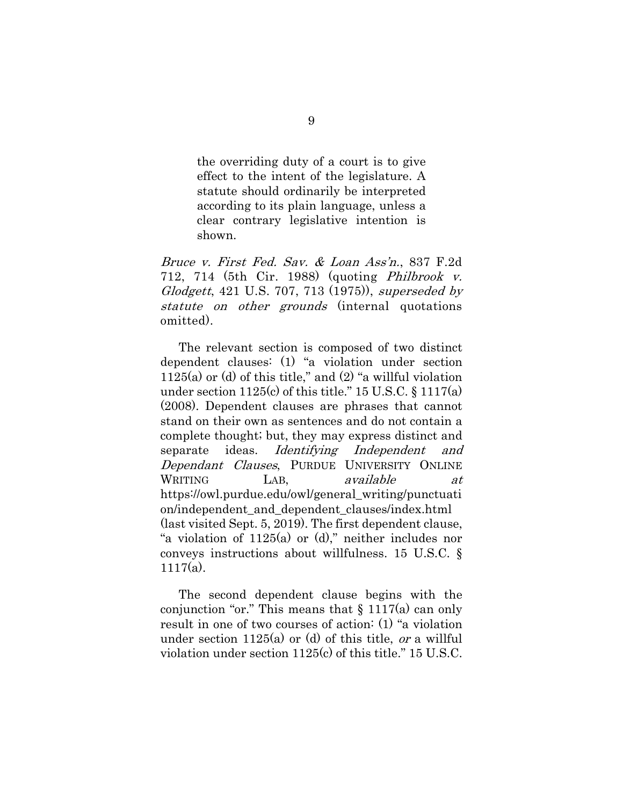the overriding duty of a court is to give effect to the intent of the legislature. A statute should ordinarily be interpreted according to its plain language, unless a clear contrary legislative intention is shown.

Bruce v. First Fed. Sav. & Loan Ass'n., 837 F.2d 712, 714 (5th Cir. 1988) (quoting Philbrook v. Glodgett, 421 U.S. 707, 713 (1975)), superseded by statute on other grounds (internal quotations omitted).

The relevant section is composed of two distinct dependent clauses: (1) "a violation under section  $1125(a)$  or (d) of this title," and  $(2)$  "a willful violation under section  $1125(c)$  of this title." 15 U.S.C. § 1117(a) (2008). Dependent clauses are phrases that cannot stand on their own as sentences and do not contain a complete thought; but, they may express distinct and separate ideas. Identifying Independent and Dependant Clauses, PURDUE UNIVERSITY ONLINE WRITING LAB, available at https://owl.purdue.edu/owl/general\_writing/punctuati on/independent\_and\_dependent\_clauses/index.html (last visited Sept. 5, 2019). The first dependent clause, "a violation of  $1125(a)$  or (d)," neither includes nor conveys instructions about willfulness. 15 U.S.C. §  $1117(a)$ .

The second dependent clause begins with the conjunction "or." This means that  $\S 1117(a)$  can only result in one of two courses of action: (1) "a violation under section  $1125(a)$  or (d) of this title, *or* a willful violation under section 1125(c) of this title." 15 U.S.C.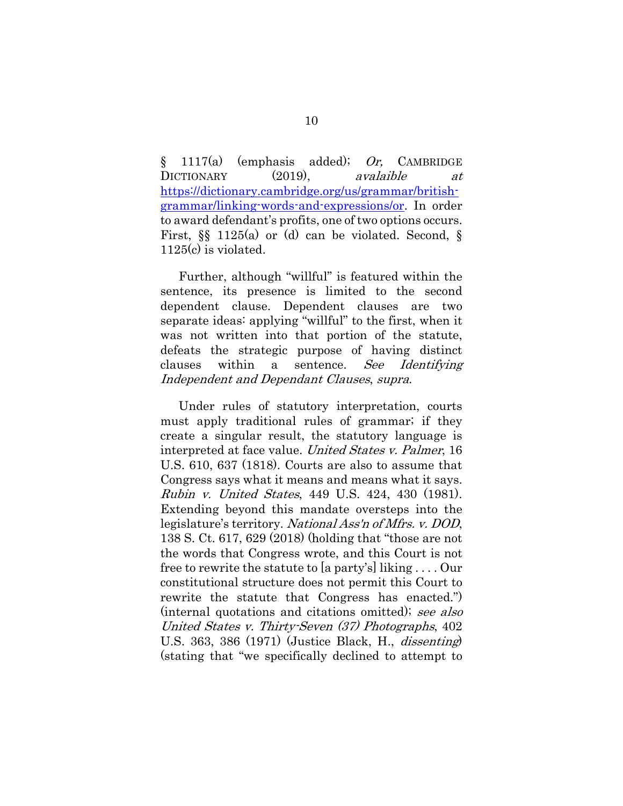$\S$  1117(a) (emphasis added); Or, CAMBRIDGE DICTIONARY (2019), *avalaible at* https://dictionary.cambridge.org/us/grammar/britishgrammar/linking-words-and-expressions/or. In order to award defendant's profits, one of two options occurs. First,  $\S$  1125(a) or (d) can be violated. Second,  $\S$ 1125(c) is violated.

Further, although "willful" is featured within the sentence, its presence is limited to the second dependent clause. Dependent clauses are two separate ideas: applying "willful" to the first, when it was not written into that portion of the statute, defeats the strategic purpose of having distinct clauses within a sentence. See Identifying Independent and Dependant Clauses, supra.

Under rules of statutory interpretation, courts must apply traditional rules of grammar; if they create a singular result, the statutory language is interpreted at face value. United States v. Palmer, 16 U.S. 610, 637 (1818). Courts are also to assume that Congress says what it means and means what it says. Rubin v. United States, 449 U.S. 424, 430 (1981). Extending beyond this mandate oversteps into the legislature's territory. National Ass'n of Mfrs. v. DOD, 138 S. Ct. 617, 629 (2018) (holding that "those are not the words that Congress wrote, and this Court is not free to rewrite the statute to [a party's] liking . . . . Our constitutional structure does not permit this Court to rewrite the statute that Congress has enacted.") (internal quotations and citations omitted); see also United States v. Thirty-Seven (37) Photographs, 402 U.S. 363, 386 (1971) (Justice Black, H., dissenting) (stating that "we specifically declined to attempt to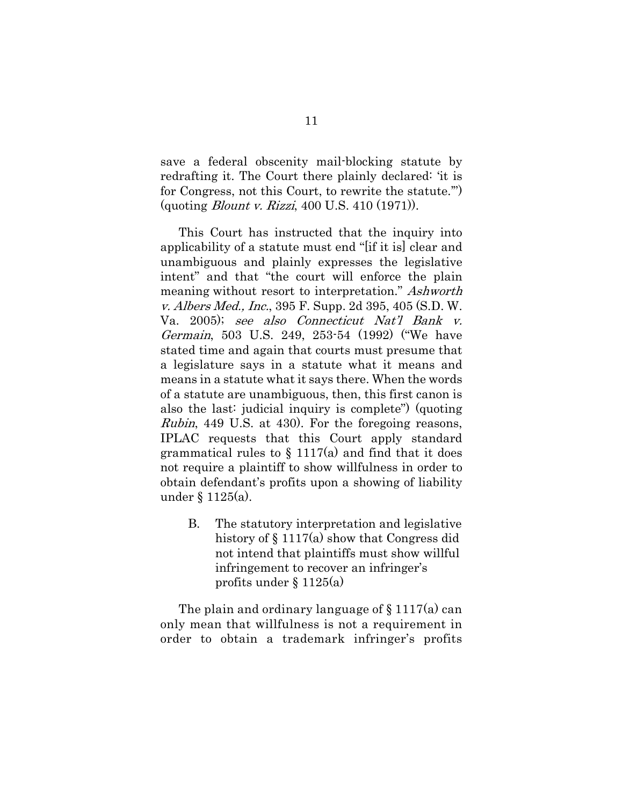save a federal obscenity mail-blocking statute by redrafting it. The Court there plainly declared: 'it is for Congress, not this Court, to rewrite the statute.'") (quoting Blount v. Rizzi, 400 U.S. 410 (1971)).

This Court has instructed that the inquiry into applicability of a statute must end "[if it is] clear and unambiguous and plainly expresses the legislative intent" and that "the court will enforce the plain meaning without resort to interpretation." Ashworth v. Albers Med., Inc., 395 F. Supp. 2d 395, 405 (S.D. W. Va. 2005); see also Connecticut Nat'l Bank v. Germain, 503 U.S. 249, 253-54 (1992) ("We have stated time and again that courts must presume that a legislature says in a statute what it means and means in a statute what it says there. When the words of a statute are unambiguous, then, this first canon is also the last: judicial inquiry is complete") (quoting Rubin, 449 U.S. at 430). For the foregoing reasons, IPLAC requests that this Court apply standard grammatical rules to  $\S 1117(a)$  and find that it does not require a plaintiff to show willfulness in order to obtain defendant's profits upon a showing of liability under § 1125(a).

B. The statutory interpretation and legislative history of  $\S 1117(a)$  show that Congress did not intend that plaintiffs must show willful infringement to recover an infringer's profits under § 1125(a)

The plain and ordinary language of  $\S 1117(a)$  can only mean that willfulness is not a requirement in order to obtain a trademark infringer's profits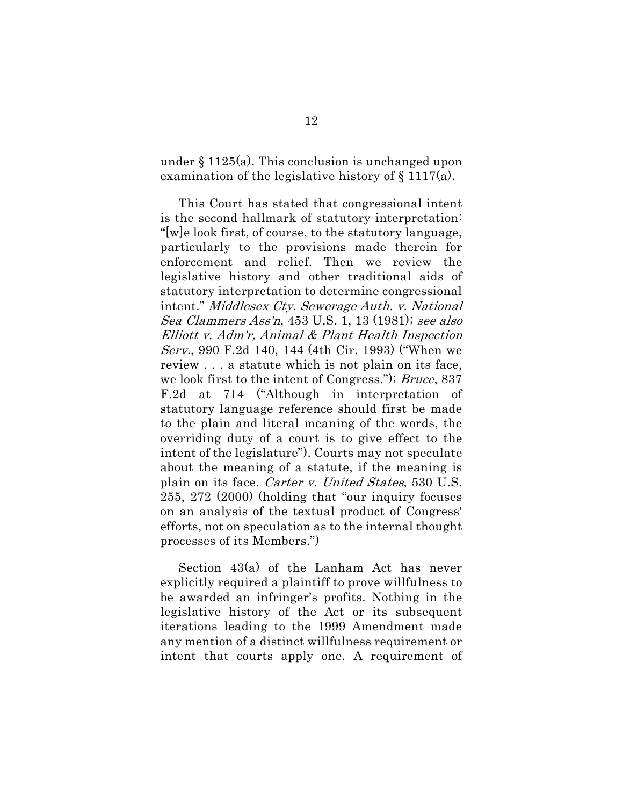under § 1125(a). This conclusion is unchanged upon examination of the legislative history of § 1117(a).

This Court has stated that congressional intent is the second hallmark of statutory interpretation: "[w]e look first, of course, to the statutory language, particularly to the provisions made therein for enforcement and relief. Then we review the legislative history and other traditional aids of statutory interpretation to determine congressional intent." Middlesex Cty. Sewerage Auth. v. National Sea Clammers Ass'n, 453 U.S. 1, 13 (1981); see also Elliott v. Adm'r, Animal & Plant Health Inspection Serv., 990 F.2d 140, 144 (4th Cir. 1993) ("When we review . . . a statute which is not plain on its face, we look first to the intent of Congress."); Bruce, 837 F.2d at 714 ("Although in interpretation of statutory language reference should first be made to the plain and literal meaning of the words, the overriding duty of a court is to give effect to the intent of the legislature"). Courts may not speculate about the meaning of a statute, if the meaning is plain on its face. Carter v. United States, 530 U.S. 255, 272 (2000) (holding that "our inquiry focuses on an analysis of the textual product of Congress' efforts, not on speculation as to the internal thought processes of its Members.")

Section 43(a) of the Lanham Act has never explicitly required a plaintiff to prove willfulness to be awarded an infringer's profits. Nothing in the legislative history of the Act or its subsequent iterations leading to the 1999 Amendment made any mention of a distinct willfulness requirement or intent that courts apply one. A requirement of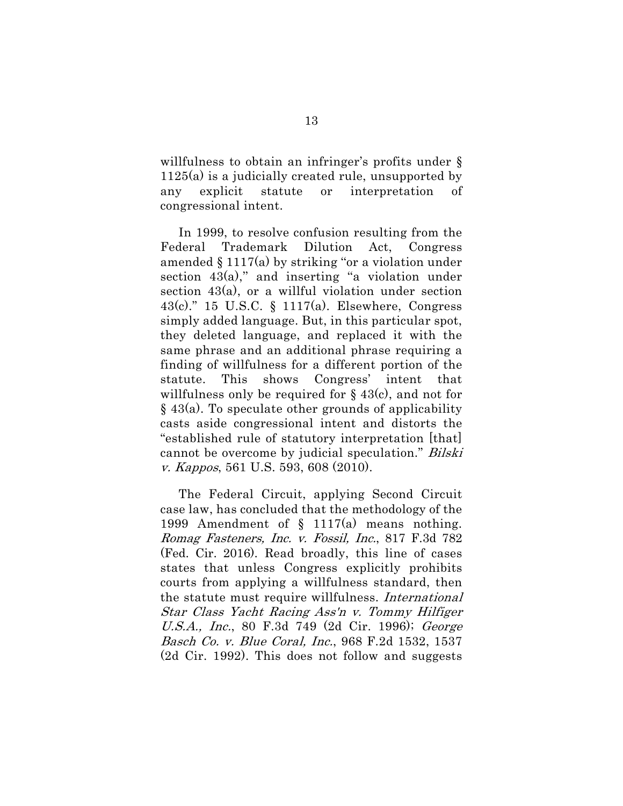willfulness to obtain an infringer's profits under § 1125(a) is a judicially created rule, unsupported by any explicit statute or interpretation of congressional intent.

In 1999, to resolve confusion resulting from the Federal Trademark Dilution Act, Congress amended  $\S 1117(a)$  by striking "or a violation under section  $43(a)$ ," and inserting "a violation under section 43(a), or a willful violation under section 43(c)." 15 U.S.C. § 1117(a). Elsewhere, Congress simply added language. But, in this particular spot, they deleted language, and replaced it with the same phrase and an additional phrase requiring a finding of willfulness for a different portion of the statute. This shows Congress' intent that willfulness only be required for  $\S$  43(c), and not for  $\S$  43(a). To speculate other grounds of applicability casts aside congressional intent and distorts the "established rule of statutory interpretation [that] cannot be overcome by judicial speculation." *Bilski* v. Kappos, 561 U.S. 593, 608 (2010).

The Federal Circuit, applying Second Circuit case law, has concluded that the methodology of the 1999 Amendment of § 1117(a) means nothing. Romag Fasteners, Inc. v. Fossil, Inc., 817 F.3d 782 (Fed. Cir. 2016). Read broadly, this line of cases states that unless Congress explicitly prohibits courts from applying a willfulness standard, then the statute must require willfulness. International Star Class Yacht Racing Ass'n v. Tommy Hilfiger U.S.A., Inc., 80 F.3d 749 (2d Cir. 1996); George Basch Co. v. Blue Coral, Inc., 968 F.2d 1532, 1537 (2d Cir. 1992). This does not follow and suggests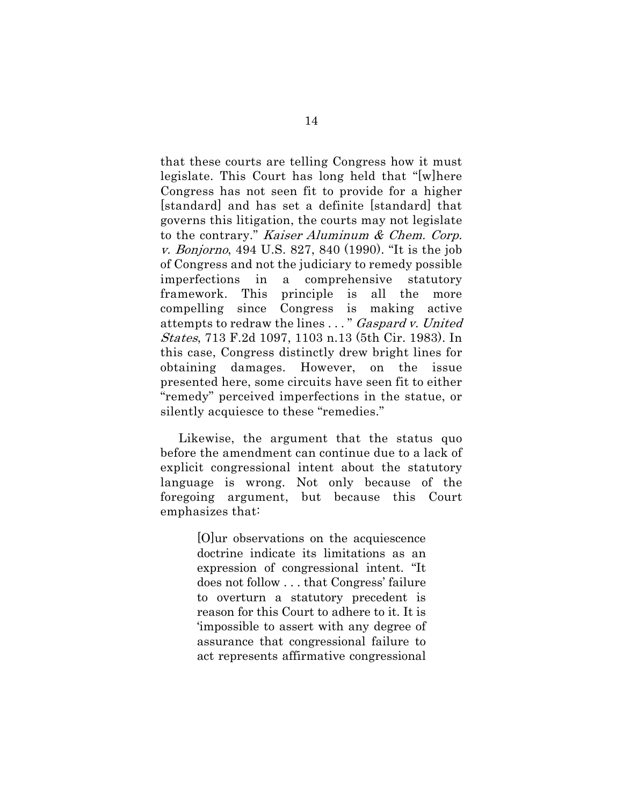that these courts are telling Congress how it must legislate. This Court has long held that "[w]here Congress has not seen fit to provide for a higher [standard] and has set a definite [standard] that governs this litigation, the courts may not legislate to the contrary." Kaiser Aluminum & Chem. Corp. v. Bonjorno, 494 U.S. 827, 840 (1990). "It is the job of Congress and not the judiciary to remedy possible imperfections in a comprehensive statutory framework. This principle is all the more compelling since Congress is making active attempts to redraw the lines . . . " Gaspard v. United States, 713 F.2d 1097, 1103 n.13 (5th Cir. 1983). In this case, Congress distinctly drew bright lines for obtaining damages. However, on the issue presented here, some circuits have seen fit to either "remedy" perceived imperfections in the statue, or silently acquiesce to these "remedies."

Likewise, the argument that the status quo before the amendment can continue due to a lack of explicit congressional intent about the statutory language is wrong. Not only because of the foregoing argument, but because this Court emphasizes that:

> [O]ur observations on the acquiescence doctrine indicate its limitations as an expression of congressional intent. "It does not follow . . . that Congress' failure to overturn a statutory precedent is reason for this Court to adhere to it. It is 'impossible to assert with any degree of assurance that congressional failure to act represents affirmative congressional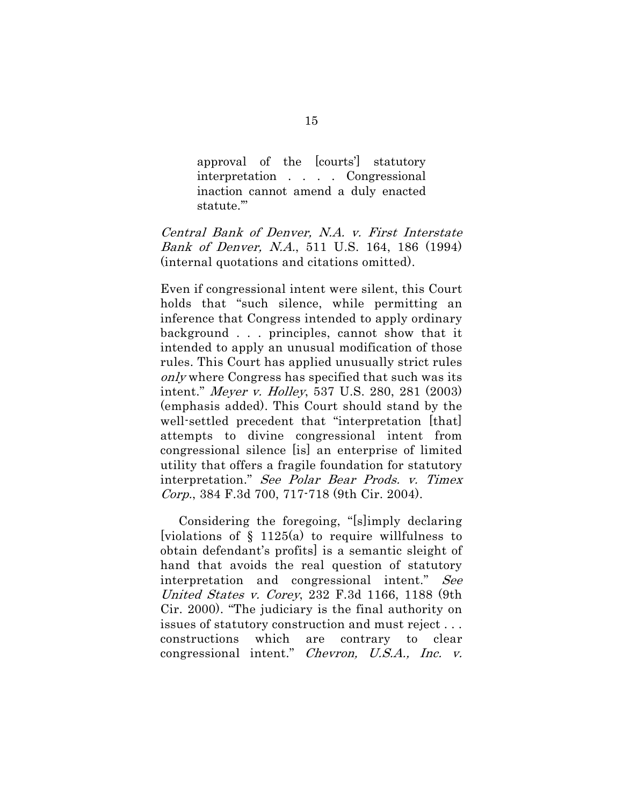approval of the [courts'] statutory interpretation . . . . Congressional inaction cannot amend a duly enacted statute.'"

Central Bank of Denver, N.A. v. First Interstate Bank of Denver, N.A., 511 U.S. 164, 186 (1994) (internal quotations and citations omitted).

Even if congressional intent were silent, this Court holds that "such silence, while permitting an inference that Congress intended to apply ordinary background . . . principles, cannot show that it intended to apply an unusual modification of those rules. This Court has applied unusually strict rules only where Congress has specified that such was its intent." Meyer v. Holley, 537 U.S. 280, 281 (2003) (emphasis added). This Court should stand by the well-settled precedent that "interpretation [that] attempts to divine congressional intent from congressional silence [is] an enterprise of limited utility that offers a fragile foundation for statutory interpretation." See Polar Bear Prods. v. Timex Corp., 384 F.3d 700, 717-718 (9th Cir. 2004).

Considering the foregoing, "[s]imply declaring [violations of  $\S$  1125(a) to require willfulness to obtain defendant's profits] is a semantic sleight of hand that avoids the real question of statutory interpretation and congressional intent." See United States v. Corey, 232 F.3d 1166, 1188 (9th Cir. 2000). "The judiciary is the final authority on issues of statutory construction and must reject . . . constructions which are contrary to clear congressional intent." Chevron, U.S.A., Inc. v.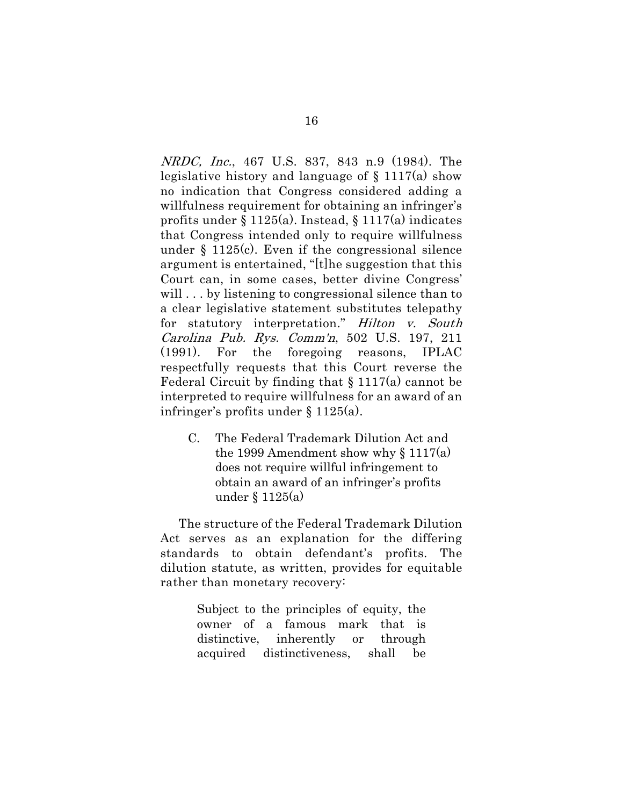NRDC, Inc., 467 U.S. 837, 843 n.9 (1984). The legislative history and language of  $\S$  1117(a) show no indication that Congress considered adding a willfulness requirement for obtaining an infringer's profits under § 1125(a). Instead, § 1117(a) indicates that Congress intended only to require willfulness under § 1125(c). Even if the congressional silence argument is entertained, "[t]he suggestion that this Court can, in some cases, better divine Congress' will ... by listening to congressional silence than to a clear legislative statement substitutes telepathy for statutory interpretation." Hilton v. South Carolina Pub. Rys. Comm'n, 502 U.S. 197, 211 (1991). For the foregoing reasons, IPLAC respectfully requests that this Court reverse the Federal Circuit by finding that  $\S 1117(a)$  cannot be interpreted to require willfulness for an award of an infringer's profits under § 1125(a).

C. The Federal Trademark Dilution Act and the 1999 Amendment show why  $\S 1117(a)$ does not require willful infringement to obtain an award of an infringer's profits under § 1125(a)

The structure of the Federal Trademark Dilution Act serves as an explanation for the differing standards to obtain defendant's profits. The dilution statute, as written, provides for equitable rather than monetary recovery:

> Subject to the principles of equity, the owner of a famous mark that is distinctive, inherently or through acquired distinctiveness, shall be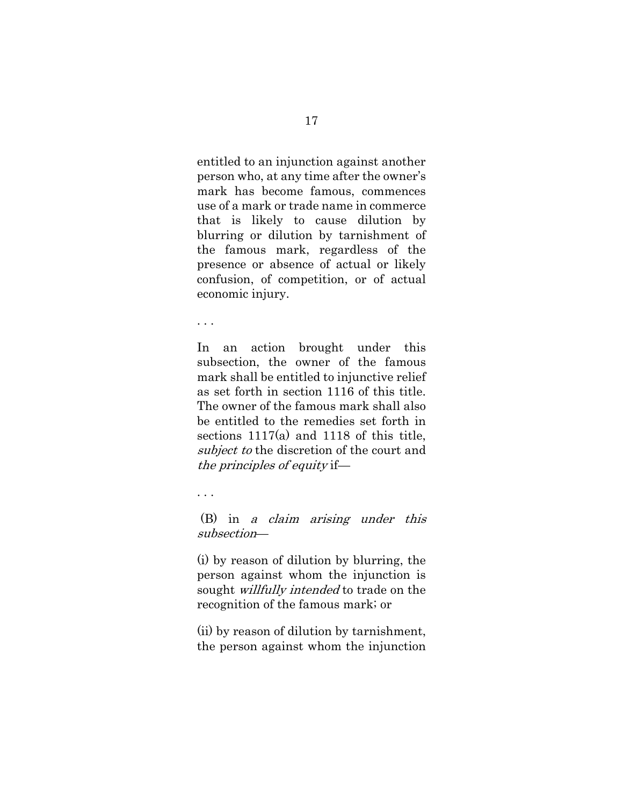entitled to an injunction against another person who, at any time after the owner's mark has become famous, commences use of a mark or trade name in commerce that is likely to cause dilution by blurring or dilution by tarnishment of the famous mark, regardless of the presence or absence of actual or likely confusion, of competition, or of actual economic injury.

. . .

In an action brought under this subsection, the owner of the famous mark shall be entitled to injunctive relief as set forth in section 1116 of this title. The owner of the famous mark shall also be entitled to the remedies set forth in sections 1117(a) and 1118 of this title, subject to the discretion of the court and the principles of equity if—

. . .

 (B) in a claim arising under this subsection—

(i) by reason of dilution by blurring, the person against whom the injunction is sought *willfully intended* to trade on the recognition of the famous mark; or

(ii) by reason of dilution by tarnishment, the person against whom the injunction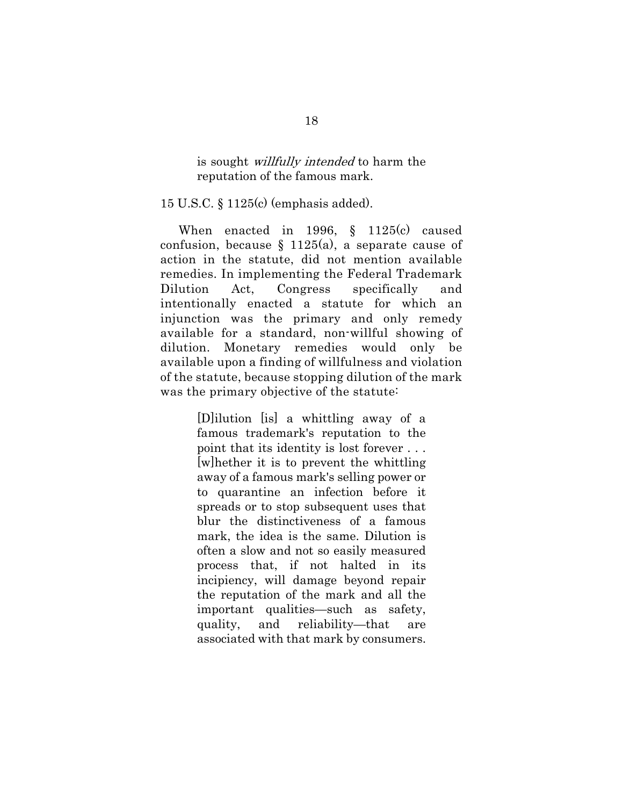is sought *willfully intended* to harm the reputation of the famous mark.

15 U.S.C. § 1125(c) (emphasis added).

When enacted in 1996, § 1125(c) caused confusion, because  $\S$  1125(a), a separate cause of action in the statute, did not mention available remedies. In implementing the Federal Trademark Dilution Act, Congress specifically and intentionally enacted a statute for which an injunction was the primary and only remedy available for a standard, non-willful showing of dilution. Monetary remedies would only be available upon a finding of willfulness and violation of the statute, because stopping dilution of the mark was the primary objective of the statute:

> [D]ilution [is] a whittling away of a famous trademark's reputation to the point that its identity is lost forever . . . [w]hether it is to prevent the whittling away of a famous mark's selling power or to quarantine an infection before it spreads or to stop subsequent uses that blur the distinctiveness of a famous mark, the idea is the same. Dilution is often a slow and not so easily measured process that, if not halted in its incipiency, will damage beyond repair the reputation of the mark and all the important qualities—such as safety, quality, and reliability—that are associated with that mark by consumers.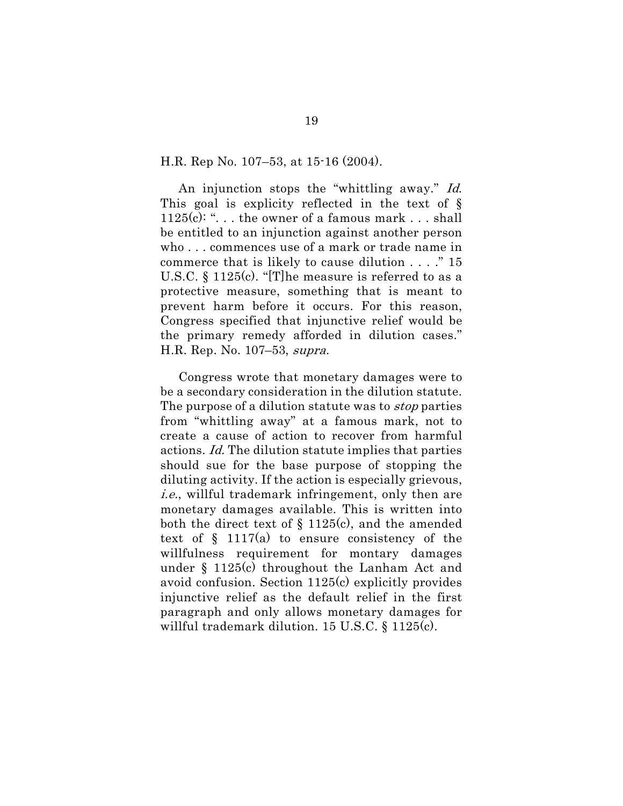H.R. Rep No. 107–53, at 15-16 (2004).

An injunction stops the "whittling away." Id. This goal is explicity reflected in the text of § 1125(c): " $\dots$  the owner of a famous mark  $\dots$  shall be entitled to an injunction against another person who . . . commences use of a mark or trade name in commerce that is likely to cause dilution . . . ." 15 U.S.C. § 1125(c). "[T]he measure is referred to as a protective measure, something that is meant to prevent harm before it occurs. For this reason, Congress specified that injunctive relief would be the primary remedy afforded in dilution cases." H.R. Rep. No. 107–53, supra.

Congress wrote that monetary damages were to be a secondary consideration in the dilution statute. The purpose of a dilution statute was to *stop* parties from "whittling away" at a famous mark, not to create a cause of action to recover from harmful actions. Id. The dilution statute implies that parties should sue for the base purpose of stopping the diluting activity. If the action is especially grievous, i.e., willful trademark infringement, only then are monetary damages available. This is written into both the direct text of  $\S$  1125(c), and the amended text of  $\S$  1117(a) to ensure consistency of the willfulness requirement for montary damages under § 1125(c) throughout the Lanham Act and avoid confusion. Section 1125(c) explicitly provides injunctive relief as the default relief in the first paragraph and only allows monetary damages for willful trademark dilution. 15 U.S.C. § 1125(c).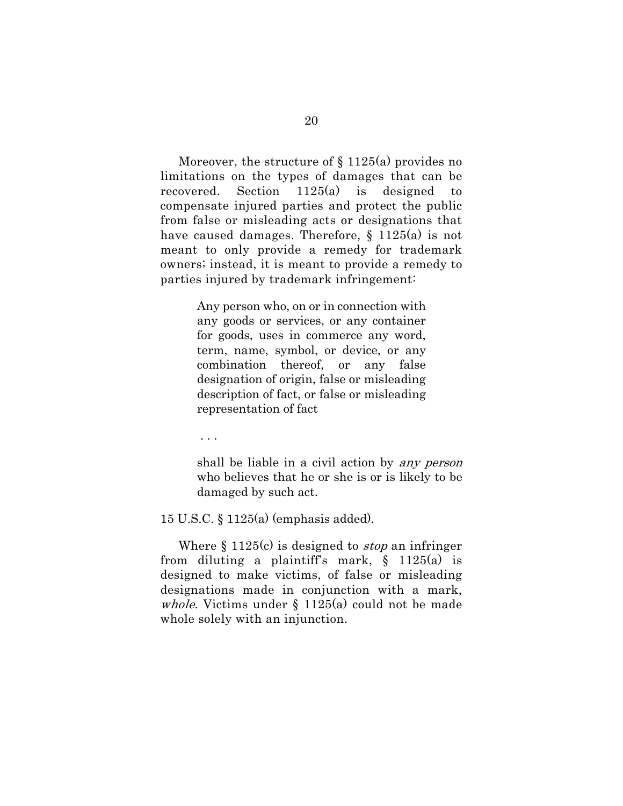Moreover, the structure of  $\S 1125(a)$  provides no limitations on the types of damages that can be recovered. Section 1125(a) is designed to compensate injured parties and protect the public from false or misleading acts or designations that have caused damages. Therefore, § 1125(a) is not meant to only provide a remedy for trademark owners; instead, it is meant to provide a remedy to parties injured by trademark infringement:

> Any person who, on or in connection with any goods or services, or any container for goods, uses in commerce any word, term, name, symbol, or device, or any combination thereof, or any false designation of origin, false or misleading description of fact, or false or misleading representation of fact

. . .

shall be liable in a civil action by any person who believes that he or she is or is likely to be damaged by such act.

15 U.S.C. § 1125(a) (emphasis added).

Where  $\S 1125(c)$  is designed to *stop* an infringer from diluting a plaintiff's mark,  $\S$  1125(a) is designed to make victims, of false or misleading designations made in conjunction with a mark, *whole*. Victims under  $\S$  1125(a) could not be made whole solely with an injunction.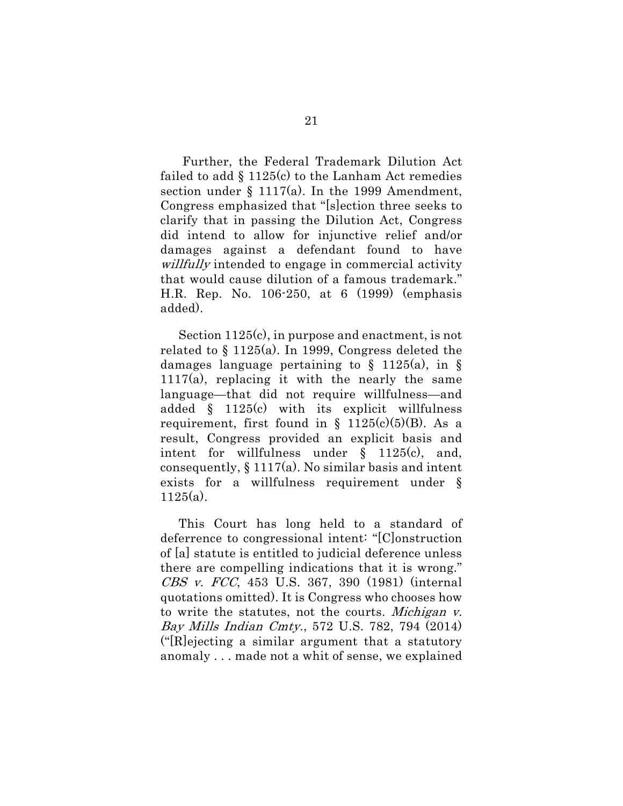Further, the Federal Trademark Dilution Act failed to add  $\S$  1125(c) to the Lanham Act remedies section under  $\S 1117(a)$ . In the 1999 Amendment, Congress emphasized that "[s]ection three seeks to clarify that in passing the Dilution Act, Congress did intend to allow for injunctive relief and/or damages against a defendant found to have willfully intended to engage in commercial activity that would cause dilution of a famous trademark." H.R. Rep. No. 106-250, at 6 (1999) (emphasis added).

Section 1125(c), in purpose and enactment, is not related to § 1125(a). In 1999, Congress deleted the damages language pertaining to  $\S$  1125(a), in  $\S$ 1117(a), replacing it with the nearly the same language—that did not require willfulness—and added § 1125(c) with its explicit willfulness requirement, first found in  $\S$  1125(c)(5)(B). As a result, Congress provided an explicit basis and intent for willfulness under § 1125(c), and, consequently,  $\S 1117(a)$ . No similar basis and intent exists for a willfulness requirement under § 1125(a).

This Court has long held to a standard of deferrence to congressional intent: "[C]onstruction of [a] statute is entitled to judicial deference unless there are compelling indications that it is wrong." CBS v. FCC, 453 U.S. 367, 390 (1981) (internal quotations omitted). It is Congress who chooses how to write the statutes, not the courts. Michigan v. Bay Mills Indian Cmty., 572 U.S. 782, 794 (2014) ("[R]ejecting a similar argument that a statutory anomaly . . . made not a whit of sense, we explained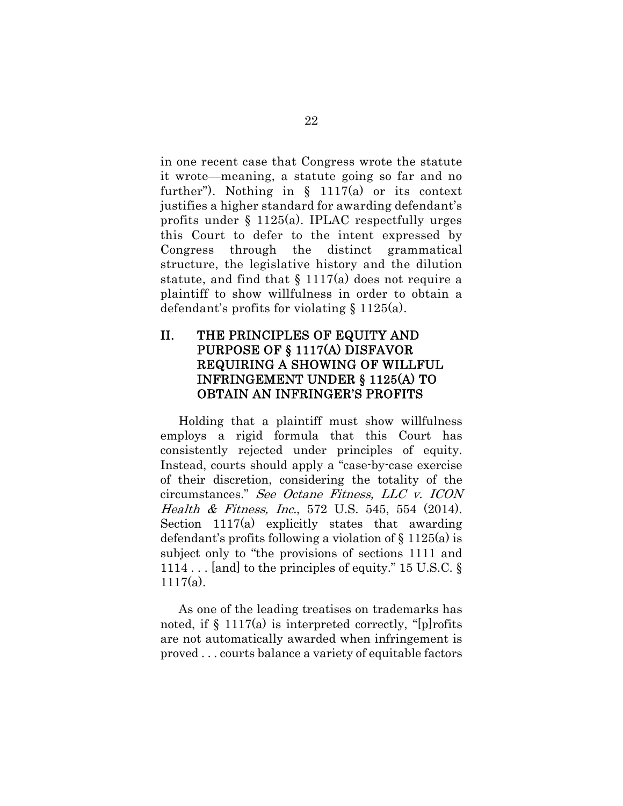in one recent case that Congress wrote the statute it wrote—meaning, a statute going so far and no further"). Nothing in  $\S$  1117(a) or its context justifies a higher standard for awarding defendant's profits under § 1125(a). IPLAC respectfully urges this Court to defer to the intent expressed by Congress through the distinct grammatical structure, the legislative history and the dilution statute, and find that  $\S 1117(a)$  does not require a plaintiff to show willfulness in order to obtain a defendant's profits for violating § 1125(a).

### II. THE PRINCIPLES OF EQUITY AND PURPOSE OF § 1117(A) DISFAVOR REQUIRING A SHOWING OF WILLFUL INFRINGEMENT UNDER § 1125(A) TO OBTAIN AN INFRINGER'S PROFITS

Holding that a plaintiff must show willfulness employs a rigid formula that this Court has consistently rejected under principles of equity. Instead, courts should apply a "case-by-case exercise of their discretion, considering the totality of the circumstances." See Octane Fitness, LLC v. ICON Health & Fitness, Inc., 572 U.S. 545, 554 (2014). Section 1117(a) explicitly states that awarding defendant's profits following a violation of § 1125(a) is subject only to "the provisions of sections 1111 and 1114 . . . [and] to the principles of equity." 15 U.S.C. §  $1117(a)$ .

As one of the leading treatises on trademarks has noted, if  $\S 1117(a)$  is interpreted correctly, "[p]rofits are not automatically awarded when infringement is proved . . . courts balance a variety of equitable factors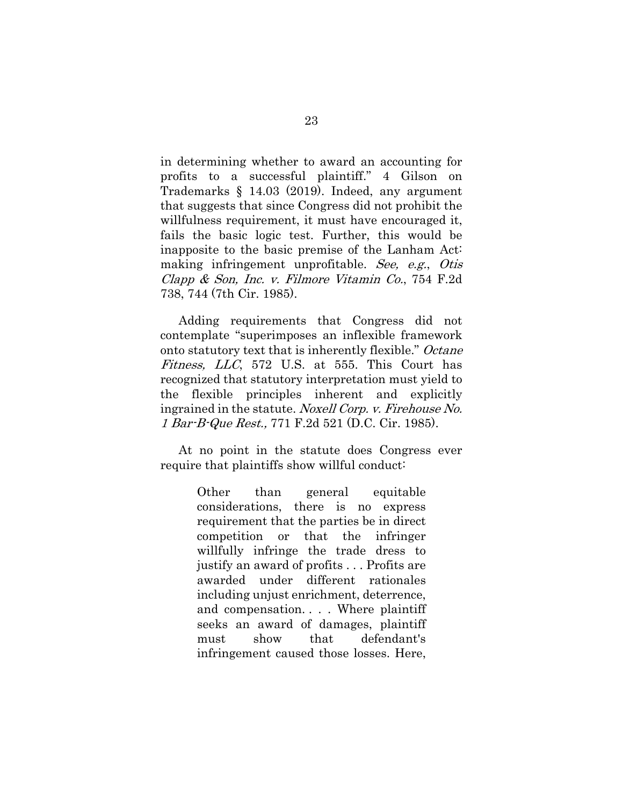in determining whether to award an accounting for profits to a successful plaintiff." 4 Gilson on Trademarks § 14.03 (2019). Indeed, any argument that suggests that since Congress did not prohibit the willfulness requirement, it must have encouraged it, fails the basic logic test. Further, this would be inapposite to the basic premise of the Lanham Act: making infringement unprofitable. See, e.g., Otis Clapp & Son, Inc. v. Filmore Vitamin Co., 754 F.2d 738, 744 (7th Cir. 1985).

Adding requirements that Congress did not contemplate "superimposes an inflexible framework onto statutory text that is inherently flexible." Octane Fitness, LLC, 572 U.S. at 555. This Court has recognized that statutory interpretation must yield to the flexible principles inherent and explicitly ingrained in the statute. Noxell Corp. v. Firehouse No. 1 Bar-B-Que Rest., 771 F.2d 521 (D.C. Cir. 1985).

At no point in the statute does Congress ever require that plaintiffs show willful conduct:

> Other than general equitable considerations, there is no express requirement that the parties be in direct competition or that the infringer willfully infringe the trade dress to justify an award of profits . . . Profits are awarded under different rationales including unjust enrichment, deterrence, and compensation. . . . Where plaintiff seeks an award of damages, plaintiff must show that defendant's infringement caused those losses. Here,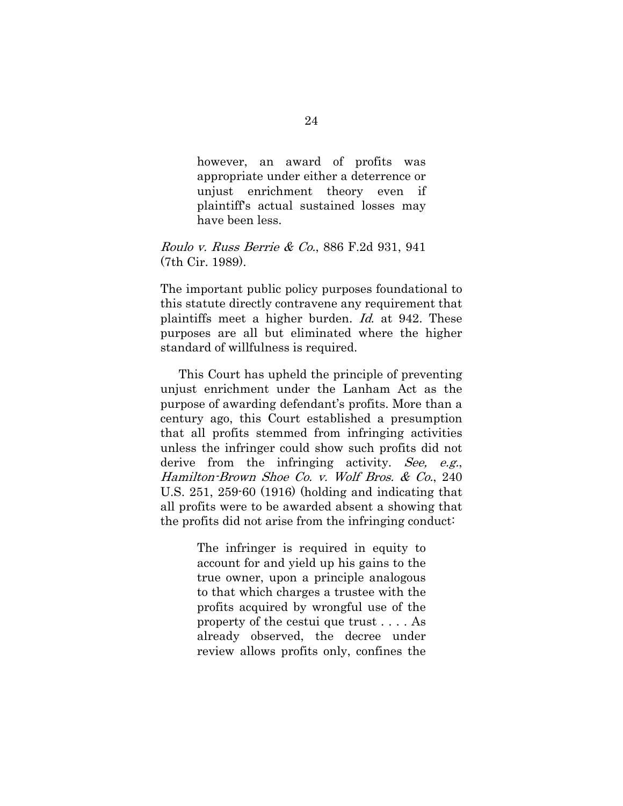however, an award of profits was appropriate under either a deterrence or unjust enrichment theory even if plaintiff's actual sustained losses may have been less.

#### Roulo v. Russ Berrie & Co., 886 F.2d 931, 941 (7th Cir. 1989).

The important public policy purposes foundational to this statute directly contravene any requirement that plaintiffs meet a higher burden. Id. at 942. These purposes are all but eliminated where the higher standard of willfulness is required.

This Court has upheld the principle of preventing unjust enrichment under the Lanham Act as the purpose of awarding defendant's profits. More than a century ago, this Court established a presumption that all profits stemmed from infringing activities unless the infringer could show such profits did not derive from the infringing activity. See, e.g., Hamilton-Brown Shoe Co. v. Wolf Bros. & Co., 240 U.S. 251, 259-60 (1916) (holding and indicating that all profits were to be awarded absent a showing that the profits did not arise from the infringing conduct:

> The infringer is required in equity to account for and yield up his gains to the true owner, upon a principle analogous to that which charges a trustee with the profits acquired by wrongful use of the property of the cestui que trust . . . . As already observed, the decree under review allows profits only, confines the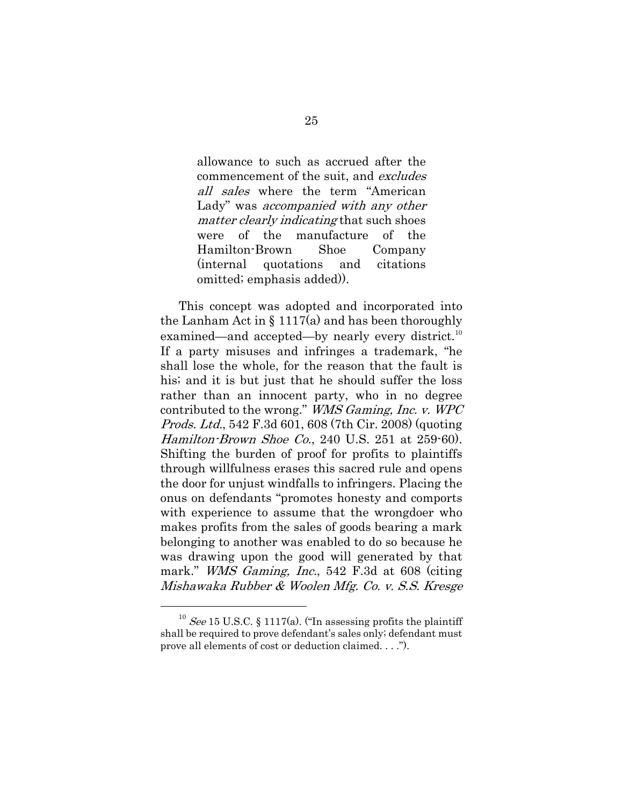allowance to such as accrued after the commencement of the suit, and excludes all sales where the term "American Lady" was *accompanied with any other* matter clearly indicating that such shoes were of the manufacture of the Hamilton-Brown Shoe Company (internal quotations and citations omitted; emphasis added)).

This concept was adopted and incorporated into the Lanham Act in § 1117(a) and has been thoroughly examined—and accepted—by nearly every district.<sup>10</sup> If a party misuses and infringes a trademark, "he shall lose the whole, for the reason that the fault is his; and it is but just that he should suffer the loss rather than an innocent party, who in no degree contributed to the wrong." WMS Gaming, Inc. v. WPC Prods. Ltd., 542 F.3d 601, 608 (7th Cir. 2008) (quoting Hamilton-Brown Shoe Co., 240 U.S. 251 at 259-60). Shifting the burden of proof for profits to plaintiffs through willfulness erases this sacred rule and opens the door for unjust windfalls to infringers. Placing the onus on defendants "promotes honesty and comports with experience to assume that the wrongdoer who makes profits from the sales of goods bearing a mark belonging to another was enabled to do so because he was drawing upon the good will generated by that mark." *WMS Gaming, Inc.*, 542 F.3d at 608 (citing Mishawaka Rubber & Woolen Mfg. Co. v. S.S. Kresge

 $10$  See 15 U.S.C. § 1117(a). ("In assessing profits the plaintiff shall be required to prove defendant's sales only; defendant must prove all elements of cost or deduction claimed. . . .").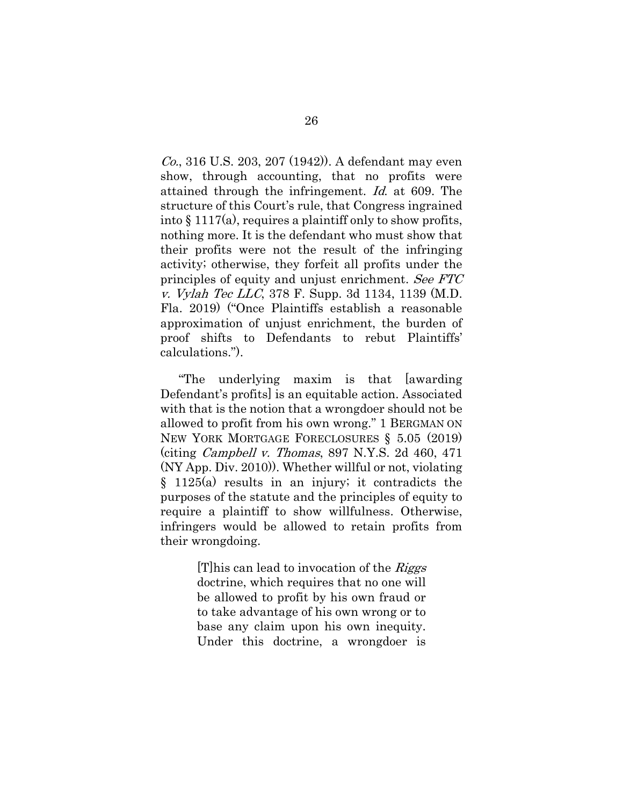Co., 316 U.S. 203, 207 (1942)). A defendant may even show, through accounting, that no profits were attained through the infringement. Id. at 609. The structure of this Court's rule, that Congress ingrained into § 1117(a), requires a plaintiff only to show profits, nothing more. It is the defendant who must show that their profits were not the result of the infringing activity; otherwise, they forfeit all profits under the principles of equity and unjust enrichment. See FTC v. Vylah Tec LLC, 378 F. Supp. 3d 1134, 1139 (M.D. Fla. 2019) ("Once Plaintiffs establish a reasonable approximation of unjust enrichment, the burden of proof shifts to Defendants to rebut Plaintiffs' calculations.").

"The underlying maxim is that [awarding Defendant's profits] is an equitable action. Associated with that is the notion that a wrongdoer should not be allowed to profit from his own wrong." 1 BERGMAN ON NEW YORK MORTGAGE FORECLOSURES § 5.05 (2019) (citing Campbell v. Thomas, 897 N.Y.S. 2d 460, 471 (NY App. Div. 2010)). Whether willful or not, violating § 1125(a) results in an injury; it contradicts the purposes of the statute and the principles of equity to require a plaintiff to show willfulness. Otherwise, infringers would be allowed to retain profits from their wrongdoing.

> [T] his can lead to invocation of the  $\mathcal{R}iggs$ doctrine, which requires that no one will be allowed to profit by his own fraud or to take advantage of his own wrong or to base any claim upon his own inequity. Under this doctrine, a wrongdoer is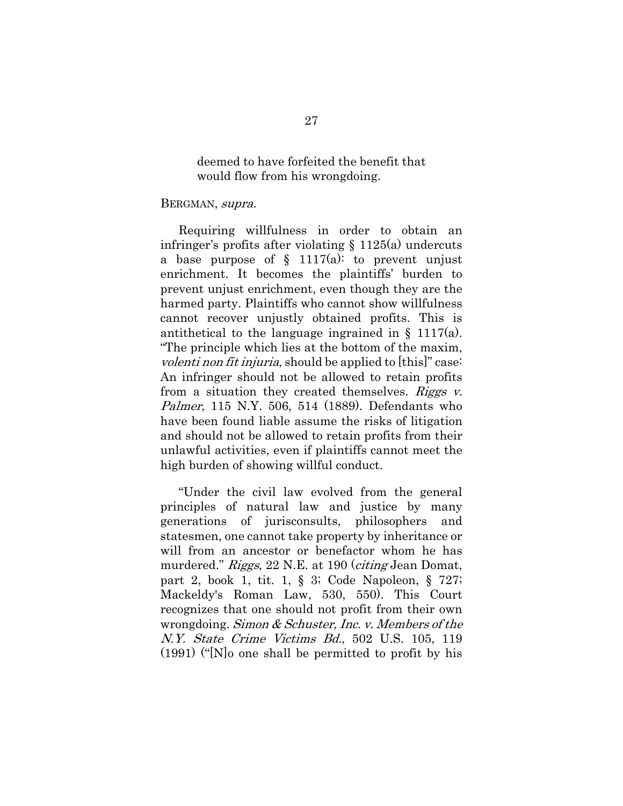deemed to have forfeited the benefit that would flow from his wrongdoing.

#### BERGMAN, supra.

Requiring willfulness in order to obtain an infringer's profits after violating § 1125(a) undercuts a base purpose of  $\S$  1117(a): to prevent unjust enrichment. It becomes the plaintiffs' burden to prevent unjust enrichment, even though they are the harmed party. Plaintiffs who cannot show willfulness cannot recover unjustly obtained profits. This is antithetical to the language ingrained in  $\S$  1117(a). "The principle which lies at the bottom of the maxim, volenti non fit injuria, should be applied to [this]" case: An infringer should not be allowed to retain profits from a situation they created themselves. Riggs  $v$ . Palmer, 115 N.Y. 506, 514 (1889). Defendants who have been found liable assume the risks of litigation and should not be allowed to retain profits from their unlawful activities, even if plaintiffs cannot meet the high burden of showing willful conduct.

"Under the civil law evolved from the general principles of natural law and justice by many generations of jurisconsults, philosophers and statesmen, one cannot take property by inheritance or will from an ancestor or benefactor whom he has murdered." Riggs, 22 N.E. at 190 (citing Jean Domat, part 2, book 1, tit. 1, § 3; Code Napoleon, § 727; Mackeldy's Roman Law, 530, 550). This Court recognizes that one should not profit from their own wrongdoing. Simon & Schuster, Inc. v. Members of the N.Y. State Crime Victims Bd., 502 U.S. 105, 119 (1991) ("[N]o one shall be permitted to profit by his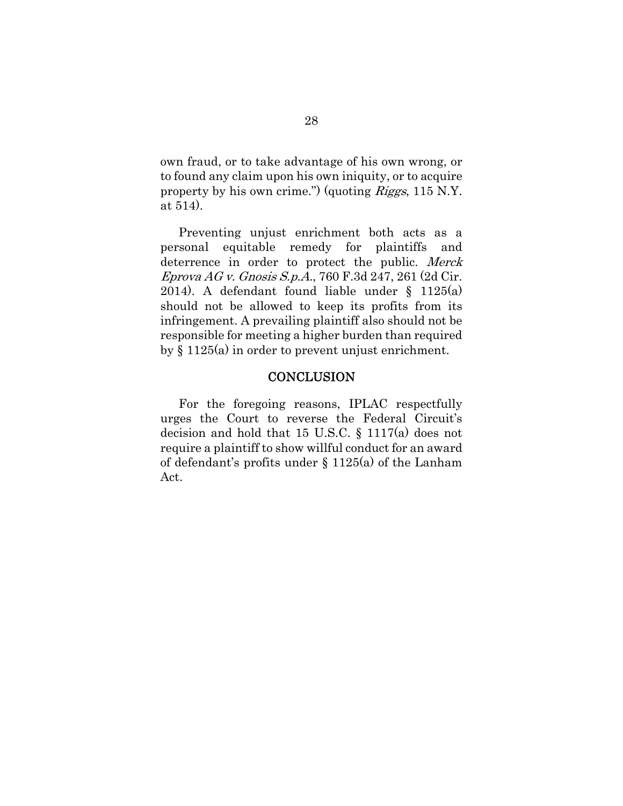own fraud, or to take advantage of his own wrong, or to found any claim upon his own iniquity, or to acquire property by his own crime.") (quoting Riggs, 115 N.Y. at 514).

Preventing unjust enrichment both acts as a personal equitable remedy for plaintiffs and deterrence in order to protect the public. Merck Eprova AG v. Gnosis S.p.A., 760 F.3d 247, 261 (2d Cir. 2014). A defendant found liable under § 1125(a) should not be allowed to keep its profits from its infringement. A prevailing plaintiff also should not be responsible for meeting a higher burden than required by § 1125(a) in order to prevent unjust enrichment.

#### **CONCLUSION**

For the foregoing reasons, IPLAC respectfully urges the Court to reverse the Federal Circuit's decision and hold that 15 U.S.C. § 1117(a) does not require a plaintiff to show willful conduct for an award of defendant's profits under § 1125(a) of the Lanham Act.